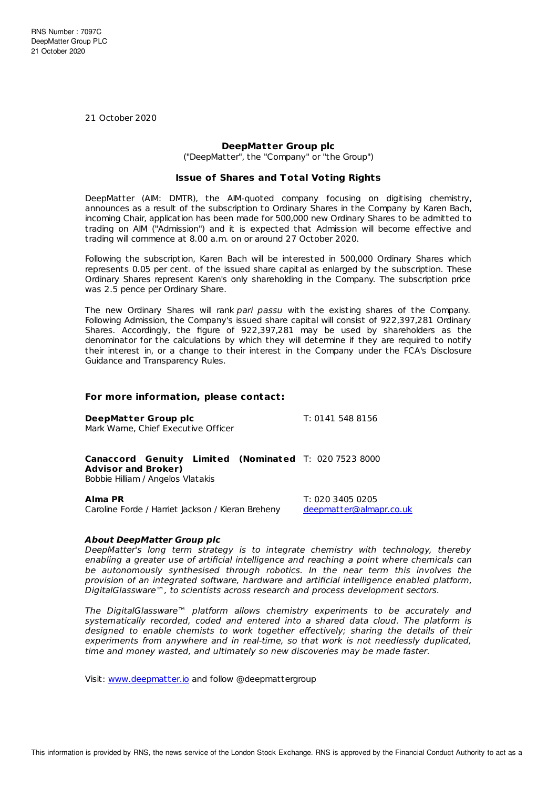21 October 2020

# **DeepMatter Group plc**

("DeepMatter", the "Company" or "the Group")

## **Issue of Shares and Total Voting Rights**

DeepMatter (AIM: DMTR), the AIM-quoted company focusing on digitising chemistry, announces as a result of the subscription to Ordinary Shares in the Company by Karen Bach, incoming Chair, application has been made for 500,000 new Ordinary Shares to be admitted to trading on AIM ("Admission") and it is expected that Admission will become effective and trading will commence at 8.00 a.m. on or around 27 October 2020.

Following the subscription, Karen Bach will be interested in 500,000 Ordinary Shares which represents 0.05 per cent. of the issued share capital as enlarged by the subscription. These Ordinary Shares represent Karen's only shareholding in the Company. The subscription price was 2.5 pence per Ordinary Share.

The new Ordinary Shares will rank pari passu with the existing shares of the Company. Following Admission, the Company's issued share capital will consist of 922,397,281 Ordinary Shares. Accordingly, the figure of 922,397,281 may be used by shareholders as the denominator for the calculations by which they will determine if they are required to notify their interest in, or a change to their interest in the Company under the FCA's Disclosure Guidance and Transparency Rules.

## **For more information, please contact:**

**DeepMatter Group plc** T: 0141 548 8156 Mark Warne, Chief Executive Officer

**Canaccord Genuity Limited (Nominated** T: 020 7523 8000

**Advisor and Broker)** Bobbie Hilliam / Angelos Vlatakis

Caroline Forde / Harriet Jackson / Kieran Breheny [deepmatter@almapr.co.uk](mailto:deepmatter@almapr.co.uk)

**Alma PR** T: 020 3405 0205

#### **About DeepMatter Group plc**

DeepMatter's long term strategy is to integrate chemistry with technology, thereby enabling a greater use of artificial intelligence and reaching a point where chemicals can be autonomously synthesised through robotics. In the near term this involves the provision of an integrated software, hardware and artificial intelligence enabled platform, DigitalGlassware™, to scientists across research and process development sectors.

The DigitalGlassware™ platform allows chemistry experiments to be accurately and systematically recorded, coded and entered into a shared data cloud. The platform is designed to enable chemists to work together effectively; sharing the details of their experiments from anywhere and in real-time, so that work is not needlessly duplicated, time and money wasted, and ultimately so new discoveries may be made faster.

Visit: [www.deepmatter.io](https://www.deepmatter.io/) and follow @deepmattergroup